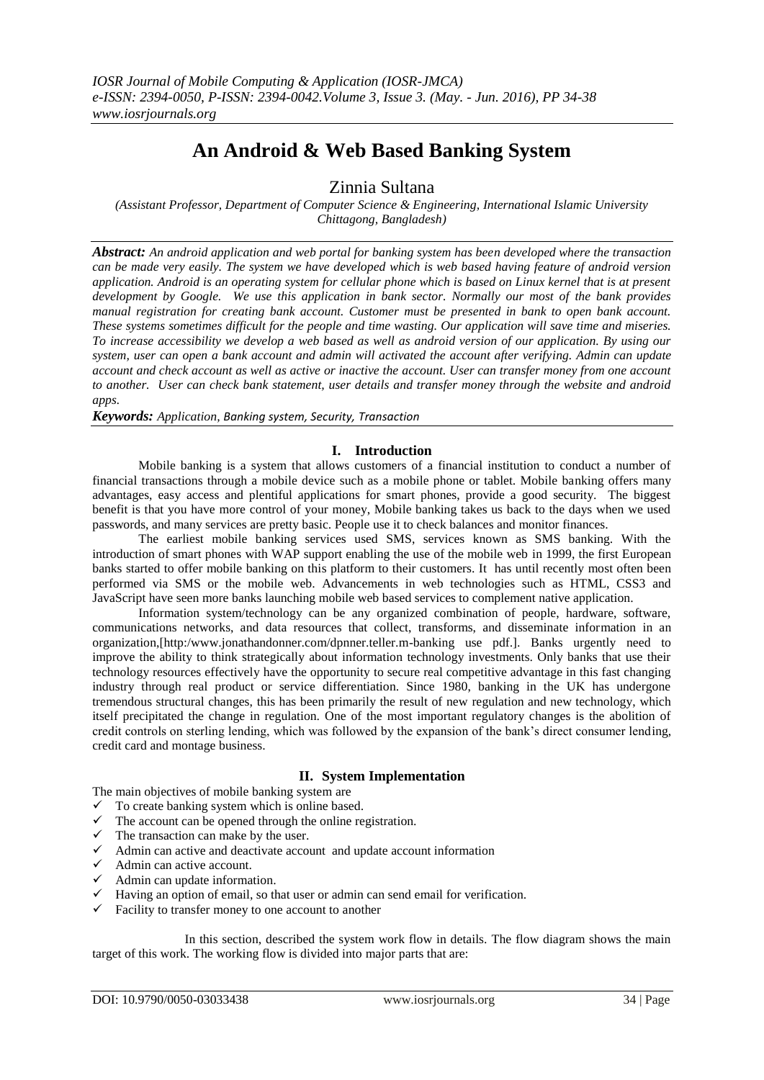# **An Android & Web Based Banking System**

Zinnia Sultana

*(Assistant Professor, Department of Computer Science & Engineering, International Islamic University Chittagong, Bangladesh)*

*Abstract: An android application and web portal for banking system has been developed where the transaction can be made very easily. The system we have developed which is web based having feature of android version application. Android is an operating system for cellular phone which is based on Linux kernel that is at present development by Google. We use this application in bank sector. Normally our most of the bank provides manual registration for creating bank account. Customer must be presented in bank to open bank account. These systems sometimes difficult for the people and time wasting. Our application will save time and miseries. To increase accessibility we develop a web based as well as android version of our application. By using our system, user can open a bank account and admin will activated the account after verifying. Admin can update account and check account as well as active or inactive the account. User can transfer money from one account to another. User can check bank statement, user details and transfer money through the website and android apps.*

*Keywords: Application, Banking system, Security, Transaction*

# **I. Introduction**

Mobile banking is a system that allows customers of a financial institution to conduct a number of financial transactions through a mobile device such as a mobile phone or tablet. Mobile banking offers many advantages, easy access and plentiful applications for smart phones, provide a good security. The biggest benefit is that you have more control of your money, Mobile banking takes us back to the days when we used passwords, and many services are pretty basic. People use it to check balances and monitor finances.

The earliest mobile banking services used SMS, services known as SMS banking. With the introduction of smart phones with WAP support enabling the use of the mobile web in 1999, the first European banks started to offer mobile banking on this platform to their customers. It has until recently most often been performed via SMS or the mobile web. Advancements in web technologies such as HTML, CSS3 and JavaScript have seen more banks launching mobile web based services to complement native application.

Information system/technology can be any organized combination of people, hardware, software, communications networks, and data resources that collect, transforms, and disseminate information in an organization,[http:/www.jonathandonner.com/dpnner.teller.m-banking use pdf.]. Banks urgently need to improve the ability to think strategically about information technology investments. Only banks that use their technology resources effectively have the opportunity to secure real competitive advantage in this fast changing industry through real product or service differentiation. Since 1980, banking in the UK has undergone tremendous structural changes, this has been primarily the result of new regulation and new technology, which itself precipitated the change in regulation. One of the most important regulatory changes is the abolition of credit controls on sterling lending, which was followed by the expansion of the bank's direct consumer lending, credit card and montage business.

# **II. System Implementation**

The main objectives of mobile banking system are

- $\checkmark$  To create banking system which is online based.
- $\checkmark$  The account can be opened through the online registration.
- $\checkmark$  The transaction can make by the user.
- $\checkmark$  Admin can active and deactivate account and update account information
- $\checkmark$  Admin can active account.
- $\checkmark$  Admin can update information.
- $\checkmark$  Having an option of email, so that user or admin can send email for verification.
- $\checkmark$  Facility to transfer money to one account to another

In this section, described the system work flow in details. The flow diagram shows the main target of this work. The working flow is divided into major parts that are: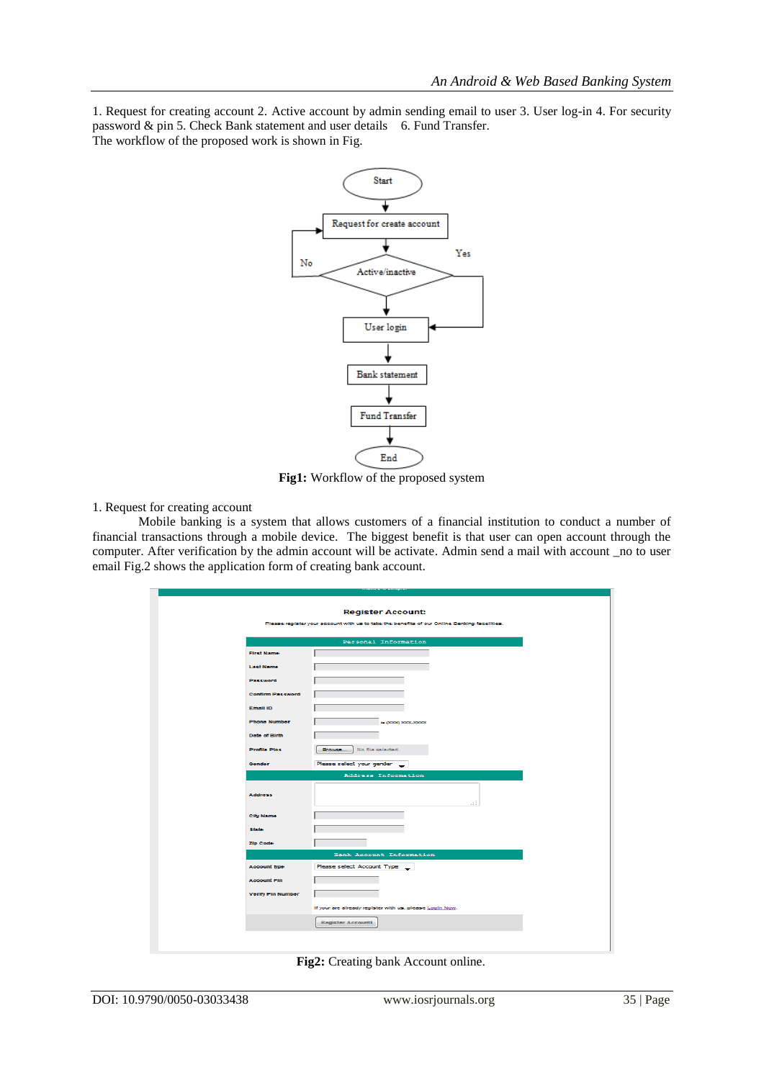1. Request for creating account 2. Active account by admin sending email to user 3. User log-in 4. For security password & pin 5. Check Bank statement and user details 6. Fund Transfer. The workflow of the proposed work is shown in Fig.



**Fig1:** Workflow of the proposed system

#### 1. Request for creating account

Mobile banking is a system that allows customers of a financial institution to conduct a number of financial transactions through a mobile device. The biggest benefit is that user can open account through the computer. After verification by the admin account will be activate. Admin send a mail with account \_no to user email Fig.2 shows the application form of creating bank account.

|                          | <b>Register Account:</b>                                                                    |
|--------------------------|---------------------------------------------------------------------------------------------|
|                          | Please register your account with us to take the benefits of our Online Banking facelities. |
|                          |                                                                                             |
|                          | Personal Information                                                                        |
| <b>Flirst Name</b>       |                                                                                             |
| <b>Last Name</b>         |                                                                                             |
| Password                 |                                                                                             |
| <b>Confirm Password</b>  |                                                                                             |
| Email ID                 |                                                                                             |
| <b>Phone Number</b>      | . (2000) 3006-3000X                                                                         |
| Date of Blith            |                                                                                             |
| <b>Profile Plos</b>      | Browse No file selected.                                                                    |
| Gender                   | Please select your gender _                                                                 |
|                          | Address Information                                                                         |
| <b>Address</b>           | .11                                                                                         |
| <b>City Name</b>         |                                                                                             |
| <b>atato</b>             |                                                                                             |
| Zip Code                 |                                                                                             |
|                          | Bank Account Information                                                                    |
| <b>Account type</b>      | Please select Account Type __                                                               |
| <b>Account Pln</b>       |                                                                                             |
| <b>Verify Pin Number</b> |                                                                                             |
|                          | If your are already register with us, please Login Now.                                     |
|                          | <b>Register Accounti</b>                                                                    |

**Fig2:** Creating bank Account online.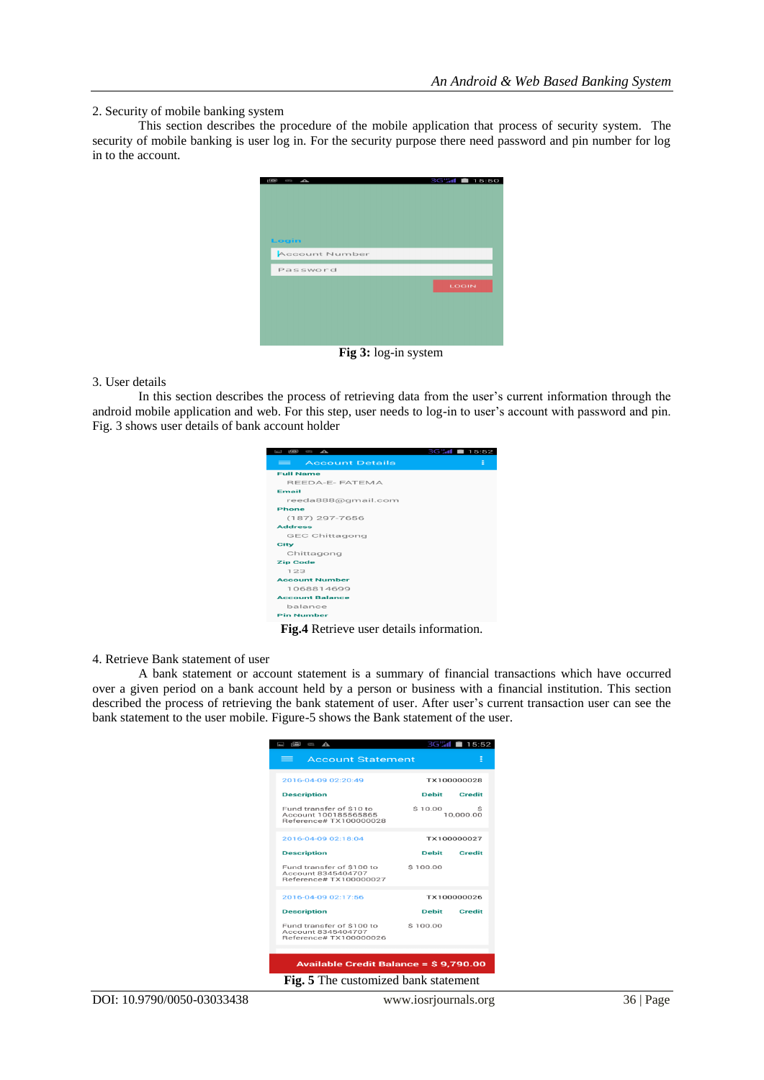#### 2. Security of mobile banking system

This section describes the procedure of the mobile application that process of security system. The security of mobile banking is user log in. For the security purpose there need password and pin number for log in to the account.

| $\sum_{i=1}^{n}$<br>Ī   | <b>3G监信 ■ 15:50</b> |
|-------------------------|---------------------|
| Login<br>Account Number |                     |
| Password                |                     |
|                         | LOGIN               |
|                         |                     |
|                         |                     |

**Fig 3:** log-in system

#### 3. User details

In this section describes the process of retrieving data from the user's current information through the android mobile application and web. For this step, user needs to log-in to user's account with password and pin. Fig. 3 shows user details of bank account holder

| 3<br>$\overline{\phantom{a}}$<br>$\sum_{i=1}^{n}$ | 3G% <b>d</b> =<br>15:52 |
|---------------------------------------------------|-------------------------|
| <b>Account Details</b><br>$=$                     | Ε                       |
| <b>Full Name</b>                                  |                         |
| REEDA-E-FATEMA                                    |                         |
| Email                                             |                         |
| reeda888@gmail.com                                |                         |
| <b>Phone</b>                                      |                         |
| $(187)$ 297-7656                                  |                         |
| <b>Address</b>                                    |                         |
| <b>GEC Chittagong</b>                             |                         |
| City                                              |                         |
| Chittagong                                        |                         |
| <b>Zip Code</b>                                   |                         |
| 123                                               |                         |
| <b>Account Number</b>                             |                         |
| 1068814699                                        |                         |
| <b>Account Balance</b>                            |                         |
| balance                                           |                         |
| <b>Pin Number</b>                                 |                         |

**Fig.4** Retrieve user details information.

## 4. Retrieve Bank statement of user

A bank statement or account statement is a summary of financial transactions which have occurred over a given period on a bank account held by a person or business with a financial institution. This section described the process of retrieving the bank statement of user. After user's current transaction user can see the bank statement to the user mobile. Figure-5 shows the Bank statement of the user.

| $\blacksquare$<br>$\approx$ $\triangle$                                    |              | 3GM 15:52     |
|----------------------------------------------------------------------------|--------------|---------------|
| <b>Account Statement</b><br>=                                              |              | E             |
| 2016-04-09 02:20:49                                                        |              | TX100000028   |
| <b>Description</b>                                                         | Debit        | <b>Credit</b> |
| Fund transfer of \$10 to<br>Account 100185565865<br>Reference# TX100000028 | \$10.00      | 10,000.00     |
| 2016-04-09 02:18:04                                                        |              | TX100000027   |
| <b>Description</b>                                                         | Debit        | Credit        |
| Fund transfer of \$100 to<br>Account 8345404707<br>Reference# TX100000027  | \$100.00     |               |
| 2016-04-09 02:17:56                                                        |              | TX100000026   |
| <b>Description</b>                                                         | <b>Debit</b> | Credit        |
| Fund transfer of \$100 to<br>Account 8345404707<br>Reference# TX100000026  | \$100.00     |               |
|                                                                            |              |               |
| Available Credit Balance = \$9,790.00                                      |              |               |
| Fig. 5 The customized bank statement                                       |              |               |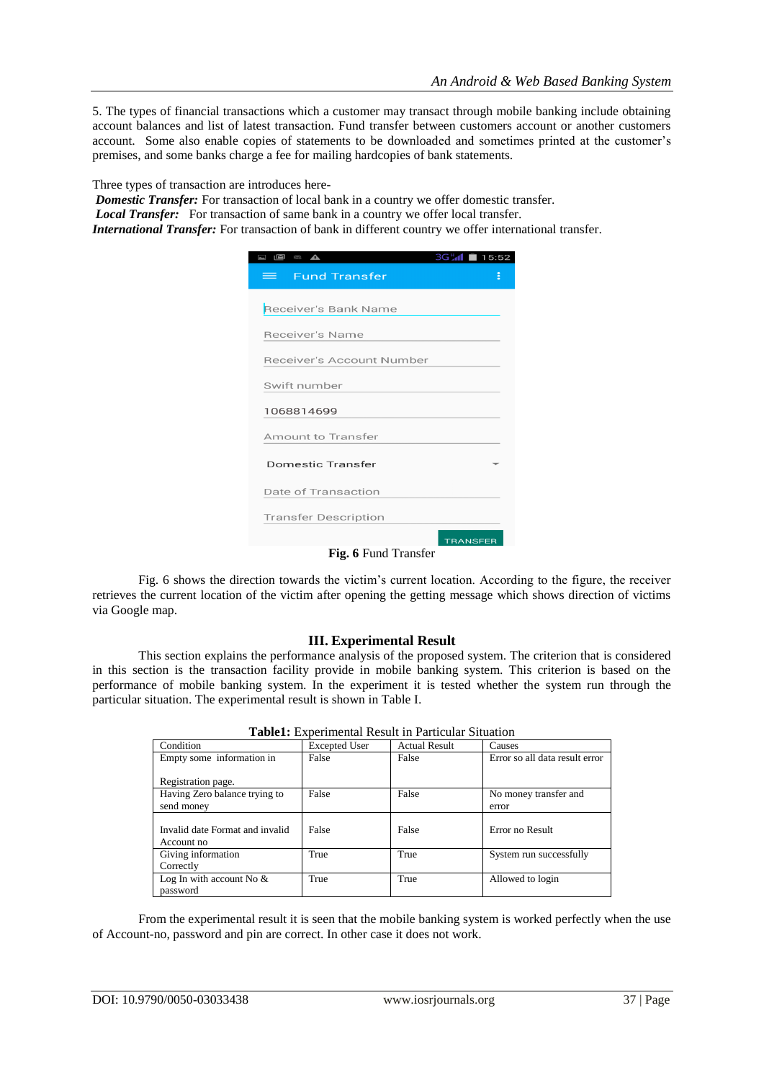5. The types of financial transactions which a customer may transact through mobile banking include obtaining account balances and list of latest transaction. Fund transfer between customers account or another customers account. Some also enable copies of statements to be downloaded and sometimes printed at the customer's premises, and some banks charge a fee for mailing hardcopies of bank statements.

Three types of transaction are introduces here-

*Domestic Transfer:* For transaction of local bank in a country we offer domestic transfer.

*Local Transfer:* For transaction of same bank in a country we offer local transfer.

*International Transfer:* For transaction of bank in different country we offer international transfer.

| $\mathbf{z}$<br>$\overline{\phantom{a}}$<br>$\sum_{i=1}^{n}$ | 3G M 15:52      |   |
|--------------------------------------------------------------|-----------------|---|
| <b>Fund Transfer</b><br>= 1                                  |                 | š |
| Receiver's Bank Name                                         |                 |   |
| Receiver's Name                                              |                 |   |
| Receiver's Account Number                                    |                 |   |
| Swift number                                                 |                 |   |
| 1068814699                                                   |                 |   |
| <b>Amount to Transfer</b>                                    |                 |   |
| <b>Domestic Transfer</b>                                     |                 |   |
| Date of Transaction                                          |                 |   |
| <b>Transfer Description</b>                                  |                 |   |
| $\mathbf{E}^{\prime}$ (Expand Technology                     | <b>TRANSFER</b> |   |

**Fig. 6** Fund Transfer

Fig. 6 shows the direction towards the victim's current location. According to the figure, the receiver retrieves the current location of the victim after opening the getting message which shows direction of victims via Google map.

### **III. Experimental Result**

This section explains the performance analysis of the proposed system. The criterion that is considered in this section is the transaction facility provide in mobile banking system. This criterion is based on the performance of mobile banking system. In the experiment it is tested whether the system run through the particular situation. The experimental result is shown in Table I.

|                                               |                      | <b>TableT:</b> Experimental Result in Particular Situation |                                |
|-----------------------------------------------|----------------------|------------------------------------------------------------|--------------------------------|
| Condition                                     | <b>Excepted User</b> | <b>Actual Result</b>                                       | Causes                         |
| Empty some information in                     | False                | False                                                      | Error so all data result error |
| Registration page.                            |                      |                                                            |                                |
| Having Zero balance trying to                 | False                | False                                                      | No money transfer and          |
| send money                                    |                      |                                                            | error                          |
| Invalid date Format and invalid<br>Account no | False                | False                                                      | Error no Result                |
| Giving information                            | True                 | True                                                       | System run successfully        |
| Correctly                                     |                      |                                                            |                                |
| Log In with account No $\&$                   | True                 | True                                                       | Allowed to login               |
| password                                      |                      |                                                            |                                |

| Table1: Experimental Result in Particular Situation |
|-----------------------------------------------------|
|-----------------------------------------------------|

From the experimental result it is seen that the mobile banking system is worked perfectly when the use of Account-no, password and pin are correct. In other case it does not work.